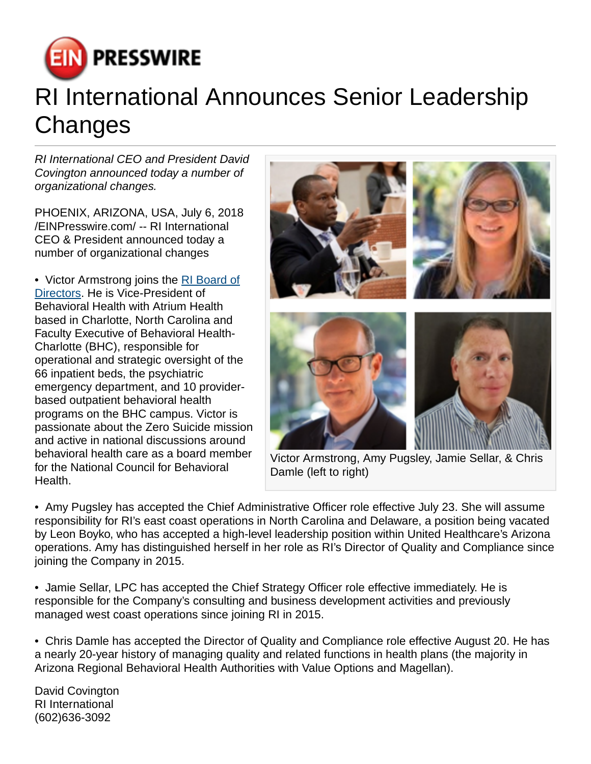

## RI International Announces Senior Leadership Changes

RI International CEO and President David Covington announced today a number of organizational changes.

PHOENIX, ARIZONA, USA, July 6, 2018 [/EINPresswire.com](http://www.einpresswire.com)/ -- RI International CEO & President announced today a number of organizational changes

• Victor Armstrong joins the [RI Board of](https://riinternational.com/about-us/leadership/board-of-directors/) [Directors](https://riinternational.com/about-us/leadership/board-of-directors/). He is Vice-President of Behavioral Health with Atrium Health based in Charlotte, North Carolina and Faculty Executive of Behavioral Health-Charlotte (BHC), responsible for operational and strategic oversight of the 66 inpatient beds, the psychiatric emergency department, and 10 providerbased outpatient behavioral health programs on the BHC campus. Victor is passionate about the Zero Suicide mission and active in national discussions around behavioral health care as a board member for the National Council for Behavioral Health.



Victor Armstrong, Amy Pugsley, Jamie Sellar, & Chris Damle (left to right)

• Amy Pugsley has accepted the Chief Administrative Officer role effective July 23. She will assume responsibility for RI's east coast operations in North Carolina and Delaware, a position being vacated by Leon Boyko, who has accepted a high-level leadership position within United Healthcare's Arizona operations. Amy has distinguished herself in her role as RI's Director of Quality and Compliance since joining the Company in 2015.

• Jamie Sellar, LPC has accepted the Chief Strategy Officer role effective immediately. He is responsible for the Company's consulting and business development activities and previously managed west coast operations since joining RI in 2015.

• Chris Damle has accepted the Director of Quality and Compliance role effective August 20. He has a nearly 20-year history of managing quality and related functions in health plans (the majority in Arizona Regional Behavioral Health Authorities with Value Options and Magellan).

David Covington RI International (602)636-3092